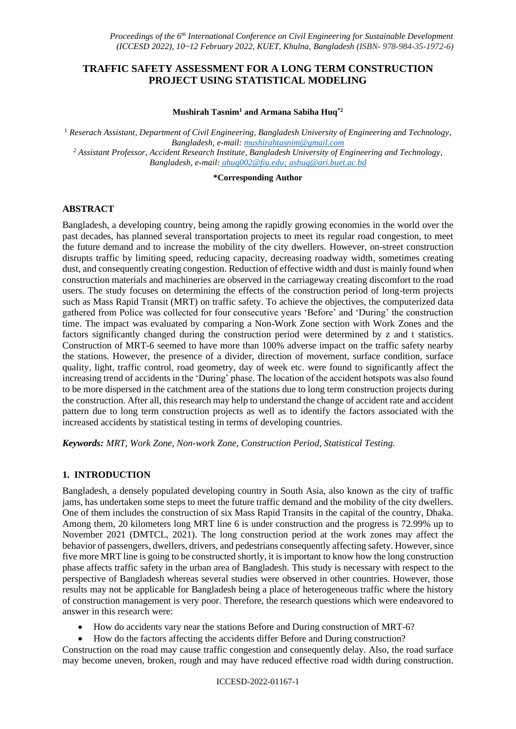# **TRAFFIC SAFETY ASSESSMENT FOR A LONG TERM CONSTRUCTION PROJECT USING STATISTICAL MODELING**

#### **Mushirah Tasnim<sup>1</sup> and Armana Sabiha Huq\*2**

<sup>1</sup> *Reserach Assistant, Department of Civil Engineering, Bangladesh University of Engineering and Technology, Bangladesh, e-mail: mushirahtasnim@gmail.com <sup>2</sup> Assistant Professor, Accident Research Institute, Bangladesh University of Engineering and Technology, Bangladesh, e-mail: ahuq002@fiu.edu; ashuq@ari.buet.ac.bd*

#### **\*Corresponding Author**

# **ABSTRACT**

Bangladesh, a developing country, being among the rapidly growing economies in the world over the past decades, has planned several transportation projects to meet its regular road congestion, to meet the future demand and to increase the mobility of the city dwellers. However, on-street construction disrupts traffic by limiting speed, reducing capacity, decreasing roadway width, sometimes creating dust, and consequently creating congestion. Reduction of effective width and dust is mainly found when construction materials and machineries are observed in the carriageway creating discomfort to the road users. The study focuses on determining the effects of the construction period of long-term projects such as Mass Rapid Transit (MRT) on traffic safety. To achieve the objectives, the computerized data gathered from Police was collected for four consecutive years 'Before' and 'During' the construction time. The impact was evaluated by comparing a Non-Work Zone section with Work Zones and the factors significantly changed during the construction period were determined by z and t statistics. Construction of MRT-6 seemed to have more than 100% adverse impact on the traffic safety nearby the stations. However, the presence of a divider, direction of movement, surface condition, surface quality, light, traffic control, road geometry, day of week etc. were found to significantly affect the increasing trend of accidents in the 'During' phase. The location of the accident hotspots was also found to be more dispersed in the catchment area of the stations due to long term construction projects during the construction. After all, this research may help to understand the change of accident rate and accident pattern due to long term construction projects as well as to identify the factors associated with the increased accidents by statistical testing in terms of developing countries.

*Keywords: MRT, Work Zone, Non-work Zone, Construction Period, Statistical Testing.*

# **1. INTRODUCTION**

Bangladesh, a densely populated developing country in South Asia, also known as the city of traffic jams, has undertaken some steps to meet the future traffic demand and the mobility of the city dwellers. One of them includes the construction of six Mass Rapid Transits in the capital of the country, Dhaka. Among them, 20 kilometers long MRT line 6 is under construction and the progress is 72.99% up to November 2021 (DMTCL, 2021). The long construction period at the work zones may affect the behavior of passengers, dwellers, drivers, and pedestrians consequently affecting safety. However, since five more MRT line is going to be constructed shortly, it is important to know how the long construction phase affects traffic safety in the urban area of Bangladesh. This study is necessary with respect to the perspective of Bangladesh whereas several studies were observed in other countries. However, those results may not be applicable for Bangladesh being a place of heterogeneous traffic where the history of construction management is very poor. Therefore, the research questions which were endeavored to answer in this research were:

- How do accidents vary near the stations Before and During construction of MRT-6?
- How do the factors affecting the accidents differ Before and During construction?

Construction on the road may cause traffic congestion and consequently delay. Also, the road surface may become uneven, broken, rough and may have reduced effective road width during construction.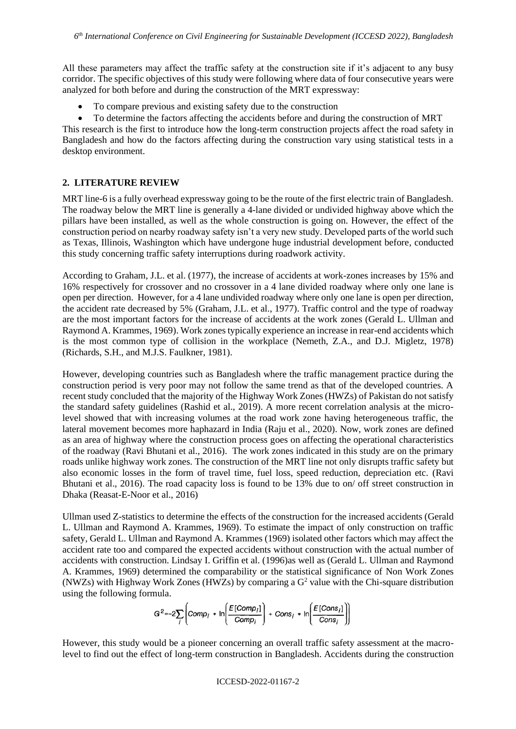All these parameters may affect the traffic safety at the construction site if it's adjacent to any busy corridor. The specific objectives of this study were following where data of four consecutive years were analyzed for both before and during the construction of the MRT expressway:

- To compare previous and existing safety due to the construction
- To determine the factors affecting the accidents before and during the construction of MRT

This research is the first to introduce how the long-term construction projects affect the road safety in Bangladesh and how do the factors affecting during the construction vary using statistical tests in a desktop environment.

# **2. LITERATURE REVIEW**

MRT line-6 is a fully overhead expressway going to be the route of the first electric train of Bangladesh. The roadway below the MRT line is generally a 4-lane divided or undivided highway above which the pillars have been installed, as well as the whole construction is going on. However, the effect of the construction period on nearby roadway safety isn't a very new study. Developed parts of the world such as Texas, Illinois, Washington which have undergone huge industrial development before, conducted this study concerning traffic safety interruptions during roadwork activity.

According to Graham, J.L. et al. (1977), the increase of accidents at work-zones increases by 15% and 16% respectively for crossover and no crossover in a 4 lane divided roadway where only one lane is open per direction. However, for a 4 lane undivided roadway where only one lane is open per direction, the accident rate decreased by 5% (Graham, J.L. et al., 1977). Traffic control and the type of roadway are the most important factors for the increase of accidents at the work zones (Gerald L. Ullman and Raymond A. Krammes, 1969). Work zones typically experience an increase in rear-end accidents which is the most common type of collision in the workplace (Nemeth, Z.A., and D.J. Migletz, 1978) (Richards, S.H., and M.J.S. Faulkner, 1981).

However, developing countries such as Bangladesh where the traffic management practice during the construction period is very poor may not follow the same trend as that of the developed countries. A recent study concluded that the majority of the Highway Work Zones (HWZs) of Pakistan do not satisfy the standard safety guidelines (Rashid et al., 2019). A more recent correlation analysis at the microlevel showed that with increasing volumes at the road work zone having heterogeneous traffic, the lateral movement becomes more haphazard in India (Raju et al., 2020). Now, work zones are defined as an area of highway where the construction process goes on affecting the operational characteristics of the roadway (Ravi Bhutani et al., 2016). The work zones indicated in this study are on the primary roads unlike highway work zones. The construction of the MRT line not only disrupts traffic safety but also economic losses in the form of travel time, fuel loss, speed reduction, depreciation etc. (Ravi Bhutani et al., 2016). The road capacity loss is found to be 13% due to on/ off street construction in Dhaka (Reasat-E-Noor et al., 2016)

Ullman used Z-statistics to determine the effects of the construction for the increased accidents (Gerald L. Ullman and Raymond A. Krammes, 1969). To estimate the impact of only construction on traffic safety, Gerald L. Ullman and Raymond A. Krammes (1969) isolated other factors which may affect the accident rate too and compared the expected accidents without construction with the actual number of accidents with construction. Lindsay I. Griffin et al. (1996)as well as (Gerald L. Ullman and Raymond A. Krammes, 1969) determined the comparability or the statistical significance of Non Work Zones (NWZs) with Highway Work Zones (HWZs) by comparing a  $G<sup>2</sup>$  value with the Chi-square distribution using the following formula.

$$
G^{2}=-2\sum_{i}\left( Comp_{i} * \ln \left( \frac{E[Comp_{i}]}{Comp_{i}} \right) + Cons_{i} * \ln \left( \frac{E[Cons_{i}]}{Cons_{i}} \right) \right)
$$

However, this study would be a pioneer concerning an overall traffic safety assessment at the macrolevel to find out the effect of long-term construction in Bangladesh. Accidents during the construction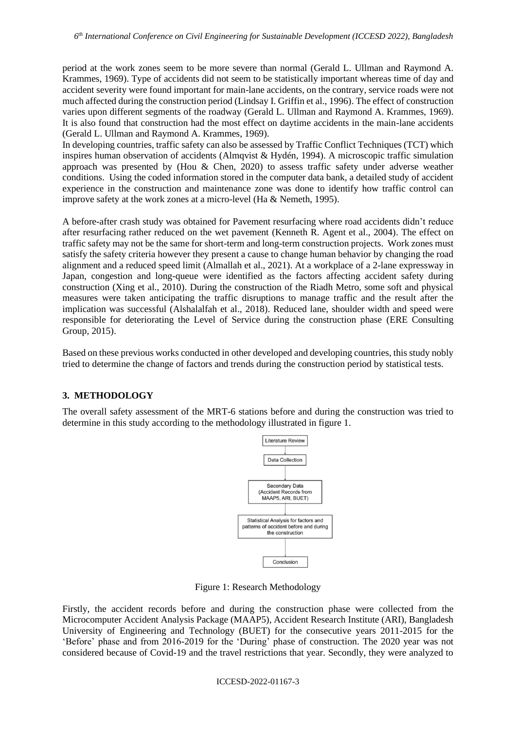period at the work zones seem to be more severe than normal (Gerald L. Ullman and Raymond A. Krammes, 1969). Type of accidents did not seem to be statistically important whereas time of day and accident severity were found important for main-lane accidents, on the contrary, service roads were not much affected during the construction period (Lindsay I. Griffin et al., 1996). The effect of construction varies upon different segments of the roadway (Gerald L. Ullman and Raymond A. Krammes, 1969). It is also found that construction had the most effect on daytime accidents in the main-lane accidents (Gerald L. Ullman and Raymond A. Krammes, 1969).

In developing countries, traffic safety can also be assessed by Traffic Conflict Techniques (TCT) which inspires human observation of accidents (Almqvist & Hydén, 1994). A microscopic traffic simulation approach was presented by (Hou & Chen, 2020) to assess traffic safety under adverse weather conditions. Using the coded information stored in the computer data bank, a detailed study of accident experience in the construction and maintenance zone was done to identify how traffic control can improve safety at the work zones at a micro-level (Ha & Nemeth, 1995).

A before-after crash study was obtained for Pavement resurfacing where road accidents didn't reduce after resurfacing rather reduced on the wet pavement (Kenneth R. Agent et al., 2004). The effect on traffic safety may not be the same for short-term and long-term construction projects. Work zones must satisfy the safety criteria however they present a cause to change human behavior by changing the road alignment and a reduced speed limit (Almallah et al., 2021). At a workplace of a 2-lane expressway in Japan, congestion and long-queue were identified as the factors affecting accident safety during construction (Xing et al., 2010). During the construction of the Riadh Metro, some soft and physical measures were taken anticipating the traffic disruptions to manage traffic and the result after the implication was successful (Alshalalfah et al., 2018). Reduced lane, shoulder width and speed were responsible for deteriorating the Level of Service during the construction phase (ERE Consulting Group, 2015).

Based on these previous works conducted in other developed and developing countries, this study nobly tried to determine the change of factors and trends during the construction period by statistical tests.

### **3. METHODOLOGY**

The overall safety assessment of the MRT-6 stations before and during the construction was tried to determine in this study according to the methodology illustrated in figure 1.



Figure 1: Research Methodology

Firstly, the accident records before and during the construction phase were collected from the Microcomputer Accident Analysis Package (MAAP5), Accident Research Institute (ARI), Bangladesh University of Engineering and Technology (BUET) for the consecutive years 2011-2015 for the 'Before' phase and from 2016-2019 for the 'During' phase of construction. The 2020 year was not considered because of Covid-19 and the travel restrictions that year. Secondly, they were analyzed to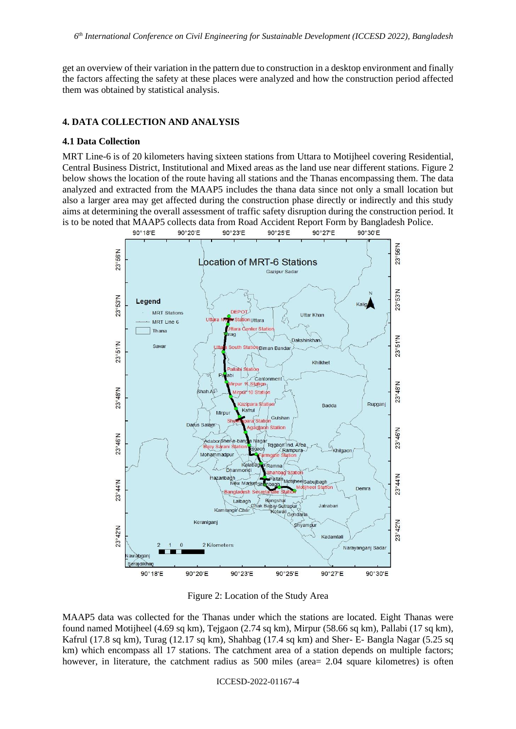get an overview of their variation in the pattern due to construction in a desktop environment and finally the factors affecting the safety at these places were analyzed and how the construction period affected them was obtained by statistical analysis.

### **4. DATA COLLECTION AND ANALYSIS**

#### **4.1 Data Collection**

MRT Line-6 is of 20 kilometers having sixteen stations from Uttara to Motijheel covering Residential, Central Business District, Institutional and Mixed areas as the land use near different stations. Figure 2 below shows the location of the route having all stations and the Thanas encompassing them. The data analyzed and extracted from the MAAP5 includes the thana data since not only a small location but also a larger area may get affected during the construction phase directly or indirectly and this study aims at determining the overall assessment of traffic safety disruption during the construction period. It is to be noted that MAAP5 collects data from Road Accident Report Form by Bangladesh Police.<br>
90°18'E 90°28'E 90°27'E 90°30'E



Figure 2: Location of the Study Area

MAAP5 data was collected for the Thanas under which the stations are located. Eight Thanas were found named Motijheel (4.69 sq km), Tejgaon (2.74 sq km), Mirpur (58.66 sq km), Pallabi (17 sq km), Kafrul (17.8 sq km), Turag (12.17 sq km), Shahbag (17.4 sq km) and Sher- E- Bangla Nagar (5.25 sq km) which encompass all 17 stations. The catchment area of a station depends on multiple factors; however, in literature, the catchment radius as 500 miles (area= 2.04 square kilometres) is often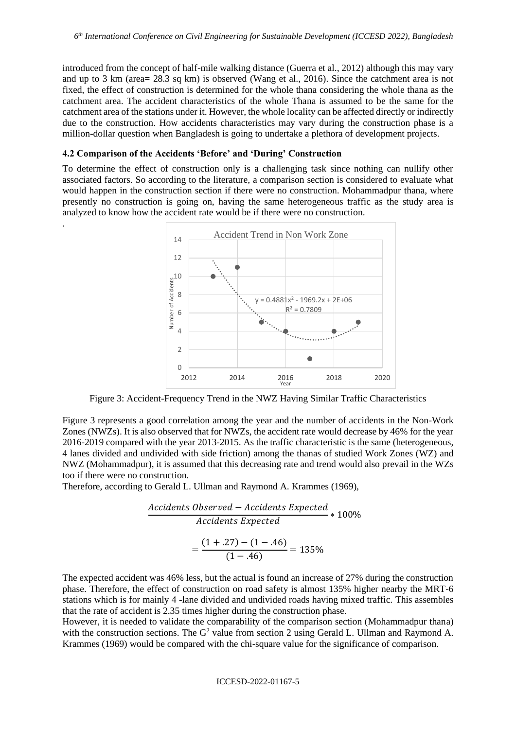introduced from the concept of half-mile walking distance (Guerra et al., 2012) although this may vary and up to 3 km (area= 28.3 sq km) is observed (Wang et al., 2016). Since the catchment area is not fixed, the effect of construction is determined for the whole thana considering the whole thana as the catchment area. The accident characteristics of the whole Thana is assumed to be the same for the catchment area of the stations under it. However, the whole locality can be affected directly or indirectly due to the construction. How accidents characteristics may vary during the construction phase is a million-dollar question when Bangladesh is going to undertake a plethora of development projects.

### **4.2 Comparison of the Accidents 'Before' and 'During' Construction**

.

To determine the effect of construction only is a challenging task since nothing can nullify other associated factors. So according to the literature, a comparison section is considered to evaluate what would happen in the construction section if there were no construction. Mohammadpur thana, where presently no construction is going on, having the same heterogeneous traffic as the study area is analyzed to know how the accident rate would be if there were no construction.



Figure 3: Accident-Frequency Trend in the NWZ Having Similar Traffic Characteristics

Figure 3 represents a good correlation among the year and the number of accidents in the Non-Work Zones (NWZs). It is also observed that for NWZs, the accident rate would decrease by 46% for the year 2016-2019 compared with the year 2013-2015. As the traffic characteristic is the same (heterogeneous, 4 lanes divided and undivided with side friction) among the thanas of studied Work Zones (WZ) and NWZ (Mohammadpur), it is assumed that this decreasing rate and trend would also prevail in the WZs too if there were no construction.

Therefore, according to Gerald L. Ullman and Raymond A. Krammes (1969),

$$
\frac{Accidents \ Observed - Accidents \ Expected}{Accidents \ Expected} * 100\%
$$
\n
$$
= \frac{(1+.27) - (1-.46)}{(1-.46)} = 135\%
$$

The expected accident was 46% less, but the actual is found an increase of 27% during the construction phase. Therefore, the effect of construction on road safety is almost 135% higher nearby the MRT-6 stations which is for mainly 4 -lane divided and undivided roads having mixed traffic. This assembles that the rate of accident is 2.35 times higher during the construction phase.

However, it is needed to validate the comparability of the comparison section (Mohammadpur thana) with the construction sections. The G<sup>2</sup> value from section 2 using Gerald L. Ullman and Raymond A. Krammes (1969) would be compared with the chi-square value for the significance of comparison.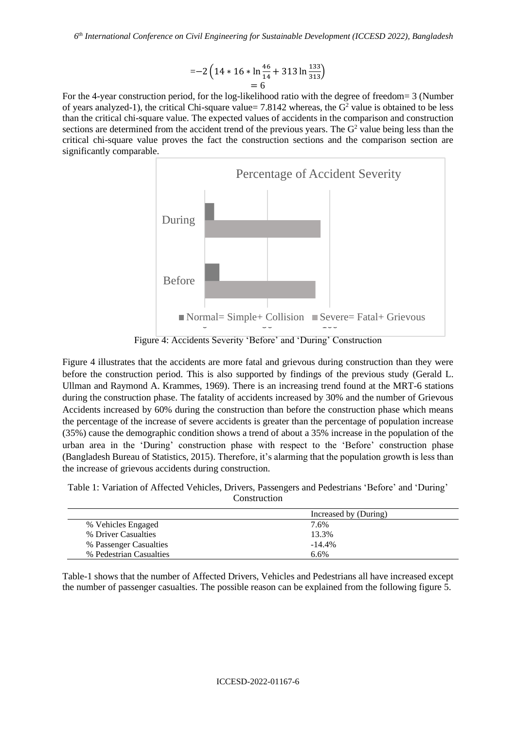$$
=-2\left(14*16*\ln\frac{46}{14}+313\ln\frac{133}{313}\right)
$$
  
= 6

For the 4-year construction period, for the log-likelihood ratio with the degree of freedom= 3 (Number of years analyzed-1), the critical Chi-square value=  $7.8142$  whereas, the  $G<sup>2</sup>$  value is obtained to be less than the critical chi-square value. The expected values of accidents in the comparison and construction sections are determined from the accident trend of the previous years. The  $G<sup>2</sup>$  value being less than the critical chi-square value proves the fact the construction sections and the comparison section are significantly comparable.



Figure 4: Accidents Severity 'Before' and 'During' Construction

Figure 4 illustrates that the accidents are more fatal and grievous during construction than they were before the construction period. This is also supported by findings of the previous study (Gerald L. Ullman and Raymond A. Krammes, 1969). There is an increasing trend found at the MRT-6 stations during the construction phase. The fatality of accidents increased by 30% and the number of Grievous Accidents increased by 60% during the construction than before the construction phase which means the percentage of the increase of severe accidents is greater than the percentage of population increase (35%) cause the demographic condition shows a trend of about a 35% increase in the population of the urban area in the 'During' construction phase with respect to the 'Before' construction phase (Bangladesh Bureau of Statistics, 2015). Therefore, it's alarming that the population growth is less than the increase of grievous accidents during construction.

Table 1: Variation of Affected Vehicles, Drivers, Passengers and Pedestrians 'Before' and 'During' Construction

|                         | Increased by (During) |
|-------------------------|-----------------------|
| % Vehicles Engaged      | 7.6%                  |
| % Driver Casualties     | 13.3%                 |
| % Passenger Casualties  | $-14.4\%$             |
| % Pedestrian Casualties | 6.6%                  |

Table-1 shows that the number of Affected Drivers, Vehicles and Pedestrians all have increased except the number of passenger casualties. The possible reason can be explained from the following figure 5.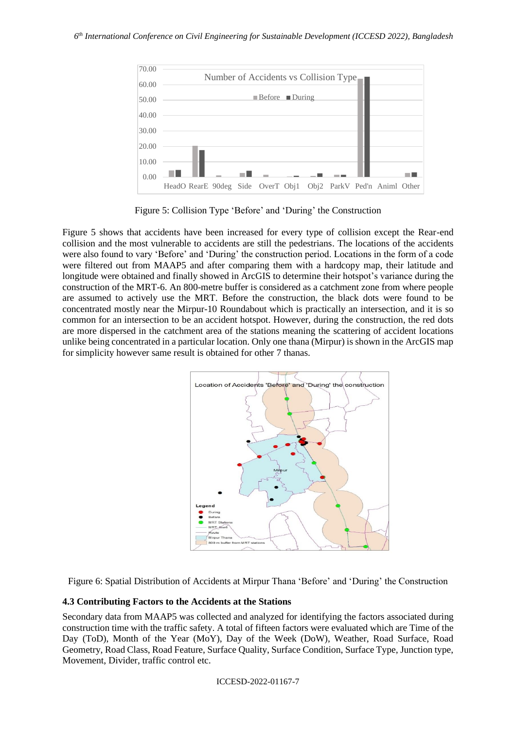

Figure 5: Collision Type 'Before' and 'During' the Construction

Figure 5 shows that accidents have been increased for every type of collision except the Rear-end collision and the most vulnerable to accidents are still the pedestrians. The locations of the accidents were also found to vary 'Before' and 'During' the construction period. Locations in the form of a code were filtered out from MAAP5 and after comparing them with a hardcopy map, their latitude and longitude were obtained and finally showed in ArcGIS to determine their hotspot's variance during the construction of the MRT-6. An 800-metre buffer is considered as a catchment zone from where people are assumed to actively use the MRT. Before the construction, the black dots were found to be concentrated mostly near the Mirpur-10 Roundabout which is practically an intersection, and it is so common for an intersection to be an accident hotspot. However, during the construction, the red dots are more dispersed in the catchment area of the stations meaning the scattering of accident locations unlike being concentrated in a particular location. Only one thana (Mirpur) is shown in the ArcGIS map for simplicity however same result is obtained for other 7 thanas.



Figure 6: Spatial Distribution of Accidents at Mirpur Thana 'Before' and 'During' the Construction

#### **4.3 Contributing Factors to the Accidents at the Stations**

Secondary data from MAAP5 was collected and analyzed for identifying the factors associated during construction time with the traffic safety. A total of fifteen factors were evaluated which are Time of the Day (ToD), Month of the Year (MoY), Day of the Week (DoW), Weather, Road Surface, Road Geometry, Road Class, Road Feature, Surface Quality, Surface Condition, Surface Type, Junction type, Movement, Divider, traffic control etc.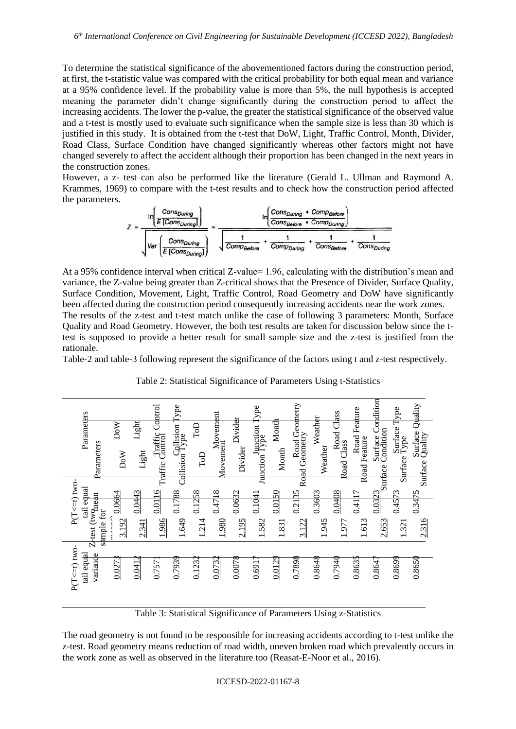To determine the statistical significance of the abovementioned factors during the construction period, at first, the t-statistic value was compared with the critical probability for both equal mean and variance at a 95% confidence level. If the probability value is more than 5%, the null hypothesis is accepted meaning the parameter didn't change significantly during the construction period to affect the increasing accidents. The lower the p-value, the greater the statistical significance of the observed value and a t-test is mostly used to evaluate such significance when the sample size is less than 30 which is justified in this study. It is obtained from the t-test that DoW, Light, Traffic Control, Month, Divider, Road Class, Surface Condition have changed significantly whereas other factors might not have changed severely to affect the accident although their proportion has been changed in the next years in the construction zones.

However, a z- test can also be performed like the literature (Gerald L. Ullman and Raymond A. Krammes, 1969) to compare with the t-test results and to check how the construction period affected the parameters.



At a 95% confidence interval when critical Z-value= 1.96, calculating with the distribution's mean and variance, the Z-value being greater than Z-critical shows that the Presence of Divider, Surface Quality, Surface Condition, Movement, Light, Traffic Control, Road Geometry and DoW have significantly been affected during the construction period consequently increasing accidents near the work zones. The results of the z-test and t-test match unlike the case of following 3 parameters: Month, Surface Quality and Road Geometry. However, the both test results are taken for discussion below since the ttest is supposed to provide a better result for small sample size and the z-test is justified from the rationale.

Table-2 and table-3 following represent the significance of the factors using t and z-test respectively.

| Parameters<br>Parameters<br>$P(T\leq t)$ two-<br>tail equal<br>test (twonean<br>sample for                                                                                                                                                                                                     | DoW<br>DoW<br>0.0664<br>3.192 | Light<br>Light<br>0.0443<br>2.341 | Control<br>Traffic Control<br>0.0116<br>1.986 | <b>Cype</b><br>Collision<br>Type<br>0.1788<br>1.649 | ToD<br>$\rm{ToD}$<br>0.1258<br>1.214 | Movement<br>Movement<br>0.4718<br>1.980 | Divider<br>Divider<br>0.0632<br>2.195 | ype<br>Junction Type<br>0.1041<br>1.582 | Month<br>Month<br>0.0150<br>1.831 | Road Geometry<br>Road Geometry<br>0.2135<br>3.122                  | Weather<br>Weather<br>0.3603<br>1.945 | SSS<br>Road Class<br>0.0408<br>1.977 | Feature<br>Road<br>Rhad Feature<br>0.41 17<br>1.613 | Condition<br>Surface Condition<br>$\frac{0.0323}{\text{Surface}}$<br>2.653 | Surface Type<br>Surface Type<br>0.4573<br>1.321 | Quality<br>Surface (<br>Quality<br>Surface<br>0.3475<br>2.316 |
|------------------------------------------------------------------------------------------------------------------------------------------------------------------------------------------------------------------------------------------------------------------------------------------------|-------------------------------|-----------------------------------|-----------------------------------------------|-----------------------------------------------------|--------------------------------------|-----------------------------------------|---------------------------------------|-----------------------------------------|-----------------------------------|--------------------------------------------------------------------|---------------------------------------|--------------------------------------|-----------------------------------------------------|----------------------------------------------------------------------------|-------------------------------------------------|---------------------------------------------------------------|
| P(T<=t) two-<br>variance<br>tail equal                                                                                                                                                                                                                                                         | 0.027                         | 0.041                             | 0.757                                         | 0.7939                                              | 0.1232                               | 0.0732                                  | 0.0078                                | 0.6917                                  | 0.0129                            | 0.7898                                                             | 0.8648                                | 0.7940                               | 0.8635                                              | 0.8647                                                                     | 0.8699                                          | 0.8650                                                        |
| The road geometry is not found to be responsible for increasing accidents according to t-test unlik<br>z-test. Road geometry means reduction of road width, uneven broken road which prevalently occu<br>the work zone as well as observed in the literature too (Reasat-E-Noor et al., 2016). |                               |                                   |                                               |                                                     |                                      |                                         |                                       |                                         |                                   | Table 3: Statistical Significance of Parameters Using z-Statistics |                                       |                                      |                                                     |                                                                            |                                                 |                                                               |

Table 2: Statistical Significance of Parameters Using t-Statistics

The road geometry is not found to be responsible for increasing accidents according to t-test unlike the z-test. Road geometry means reduction of road width, uneven broken road which prevalently occurs in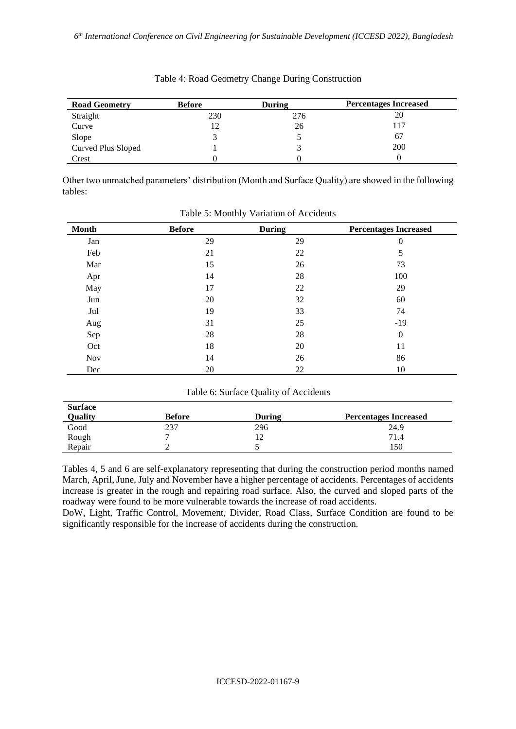| <b>Road Geometry</b> | <b>Before</b> | During | <b>Percentages Increased</b> |
|----------------------|---------------|--------|------------------------------|
| Straight             | 230           | 276    | 20                           |
| Curve                | 12            | 26     | 117                          |
| Slope                |               |        | 67                           |
| Curved Plus Sloped   |               |        | 200                          |
| Crest                |               |        |                              |

Table 4: Road Geometry Change During Construction

Other two unmatched parameters' distribution (Month and Surface Quality) are showed in the following tables:

| <b>Month</b> | <b>Before</b> | <b>During</b> | <b>Percentages Increased</b> |
|--------------|---------------|---------------|------------------------------|
| Jan          | 29            | 29            | $\theta$                     |
| Feb          | 21            | 22            | 5                            |
| Mar          | 15            | 26            | 73                           |
| Apr          | 14            | 28            | 100                          |
| May          | 17            | 22            | 29                           |
| Jun          | 20            | 32            | 60                           |
| Jul          | 19            | 33            | 74                           |
| Aug          | 31            | 25            | $-19$                        |
| Sep          | 28            | 28            | $\overline{0}$               |
| Oct          | 18            | 20            | 11                           |
| Nov          | 14            | 26            | 86                           |
| Dec          | 20            | 22            | 10                           |

Table 5: Monthly Variation of Accidents

Table 6: Surface Quality of Accidents

| <b>Surface</b> |               |               |                              |
|----------------|---------------|---------------|------------------------------|
| Quality        | <b>Before</b> | <b>During</b> | <b>Percentages Increased</b> |
| Good           | 237           | 296           | 24.9                         |
| Rough          |               | └             | 71.4                         |
| Repair         |               |               | 150                          |

Tables 4, 5 and 6 are self-explanatory representing that during the construction period months named March, April, June, July and November have a higher percentage of accidents. Percentages of accidents increase is greater in the rough and repairing road surface. Also, the curved and sloped parts of the roadway were found to be more vulnerable towards the increase of road accidents.

DoW, Light, Traffic Control, Movement, Divider, Road Class, Surface Condition are found to be significantly responsible for the increase of accidents during the construction.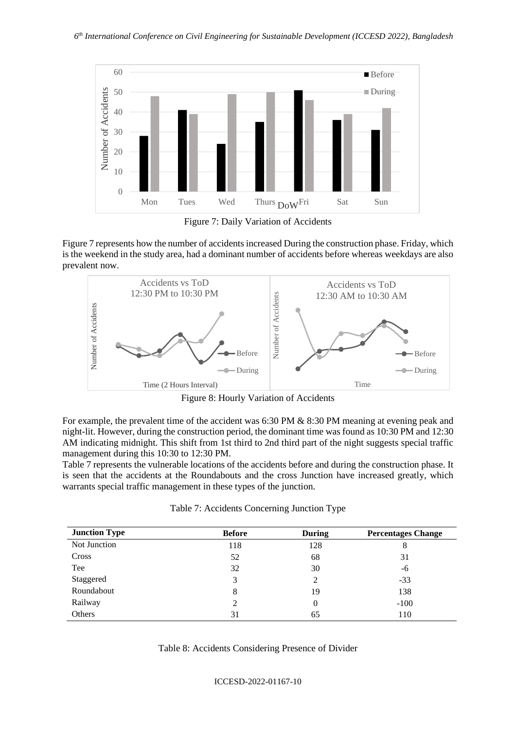

Figure 7: Daily Variation of Accidents

Figure 7 represents how the number of accidents increased During the construction phase. Friday, which is the weekend in the study area, had a dominant number of accidents before whereas weekdays are also prevalent now.



Figure 8: Hourly Variation of Accidents

| Number of Accidents                                                                                                                                                                                                                                                                                                                                                                                                                                                                                                                                      | Number of Accide                            |                |                           |
|----------------------------------------------------------------------------------------------------------------------------------------------------------------------------------------------------------------------------------------------------------------------------------------------------------------------------------------------------------------------------------------------------------------------------------------------------------------------------------------------------------------------------------------------------------|---------------------------------------------|----------------|---------------------------|
|                                                                                                                                                                                                                                                                                                                                                                                                                                                                                                                                                          | Before                                      |                | -Before                   |
|                                                                                                                                                                                                                                                                                                                                                                                                                                                                                                                                                          | During                                      |                | $-During$                 |
| Time (2 Hours Interval)                                                                                                                                                                                                                                                                                                                                                                                                                                                                                                                                  |                                             |                | Time                      |
|                                                                                                                                                                                                                                                                                                                                                                                                                                                                                                                                                          | Figure 8: Hourly Variation of Accidents     |                |                           |
| ight-lit. However, during the construction period, the dominant time was found as 10:30 PM and 12:30<br>AM indicating midnight. This shift from 1st third to 2nd third part of the night suggests special traffic<br>nanagement during this 10:30 to 12:30 PM.<br>Table 7 represents the vulnerable locations of the accidents before and during the construction phase. It<br>is seen that the accidents at the Roundabouts and the cross Junction have increased greatly, which<br>warrants special traffic management in these types of the junction. | Table 7: Accidents Concerning Junction Type |                |                           |
| <b>Junction Type</b>                                                                                                                                                                                                                                                                                                                                                                                                                                                                                                                                     | <b>Before</b>                               | <b>During</b>  | <b>Percentages Change</b> |
| Not Junction                                                                                                                                                                                                                                                                                                                                                                                                                                                                                                                                             | 118                                         | 128            | 8                         |
| Cross                                                                                                                                                                                                                                                                                                                                                                                                                                                                                                                                                    | 52                                          | 68             | 31                        |
| Tee                                                                                                                                                                                                                                                                                                                                                                                                                                                                                                                                                      | 32                                          | 30             | -6                        |
| Staggered                                                                                                                                                                                                                                                                                                                                                                                                                                                                                                                                                | 3                                           | $\overline{2}$ | $-33$                     |
| Roundabout                                                                                                                                                                                                                                                                                                                                                                                                                                                                                                                                               | $\,8\,$                                     | 19             | 138                       |
| Railway                                                                                                                                                                                                                                                                                                                                                                                                                                                                                                                                                  |                                             |                |                           |
|                                                                                                                                                                                                                                                                                                                                                                                                                                                                                                                                                          | 2                                           | $\Omega$       | $-100$                    |

Table 8: Accidents Considering Presence of Divider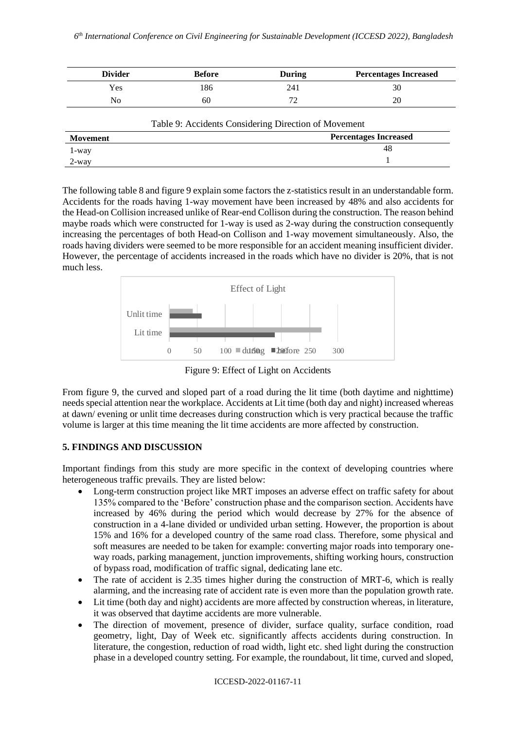| <b>Divider</b> | <b>Before</b> | <b>During</b> | <b>Percentages Increased</b> |
|----------------|---------------|---------------|------------------------------|
| Yes            | .86           | 241           | 30                           |
| No             | 60            |               |                              |

| Table 9: Accidents Considering Direction of Movement |                              |  |  |  |
|------------------------------------------------------|------------------------------|--|--|--|
| Movement                                             | <b>Percentages Increased</b> |  |  |  |
| 1-way                                                | 48                           |  |  |  |
| 2-way                                                |                              |  |  |  |

The following table 8 and figure 9 explain some factors the z-statistics result in an understandable form. Accidents for the roads having 1-way movement have been increased by 48% and also accidents for the Head-on Collision increased unlike of Rear-end Collison during the construction. The reason behind maybe roads which were constructed for 1-way is used as 2-way during the construction consequently increasing the percentages of both Head-on Collison and 1-way movement simultaneously. Also, the roads having dividers were seemed to be more responsible for an accident meaning insufficient divider. However, the percentage of accidents increased in the roads which have no divider is 20%, that is not much less.



Figure 9: Effect of Light on Accidents

From figure 9, the curved and sloped part of a road during the lit time (both daytime and nighttime) needs special attention near the workplace. Accidents at Lit time (both day and night) increased whereas at dawn/ evening or unlit time decreases during construction which is very practical because the traffic volume is larger at this time meaning the lit time accidents are more affected by construction.

# **5. FINDINGS AND DISCUSSION**

Important findings from this study are more specific in the context of developing countries where heterogeneous traffic prevails. They are listed below:

- Long-term construction project like MRT imposes an adverse effect on traffic safety for about 135% compared to the 'Before' construction phase and the comparison section. Accidents have increased by 46% during the period which would decrease by 27% for the absence of construction in a 4-lane divided or undivided urban setting. However, the proportion is about 15% and 16% for a developed country of the same road class. Therefore, some physical and soft measures are needed to be taken for example: converting major roads into temporary oneway roads, parking management, junction improvements, shifting working hours, construction of bypass road, modification of traffic signal, dedicating lane etc.
- The rate of accident is 2.35 times higher during the construction of MRT-6, which is really alarming, and the increasing rate of accident rate is even more than the population growth rate.
- Lit time (both day and night) accidents are more affected by construction whereas, in literature, it was observed that daytime accidents are more vulnerable.
- The direction of movement, presence of divider, surface quality, surface condition, road geometry, light, Day of Week etc. significantly affects accidents during construction. In literature, the congestion, reduction of road width, light etc. shed light during the construction phase in a developed country setting. For example, the roundabout, lit time, curved and sloped,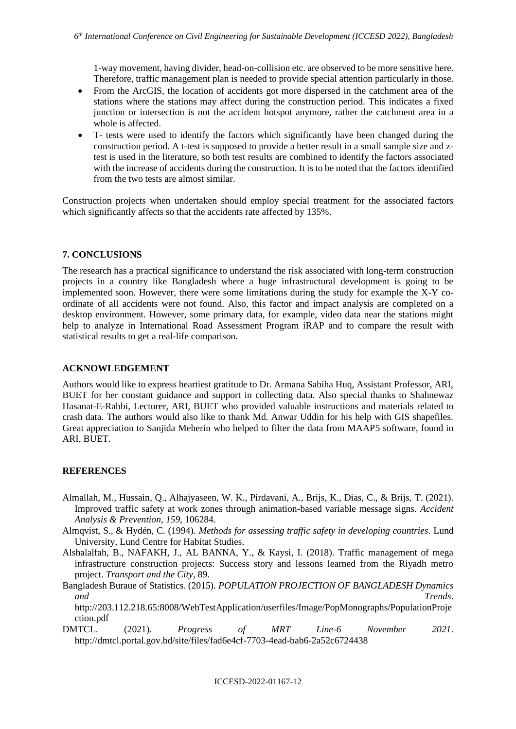1-way movement, having divider, head-on-collision etc. are observed to be more sensitive here. Therefore, traffic management plan is needed to provide special attention particularly in those.

- From the ArcGIS, the location of accidents got more dispersed in the catchment area of the stations where the stations may affect during the construction period. This indicates a fixed junction or intersection is not the accident hotspot anymore, rather the catchment area in a whole is affected.
- T- tests were used to identify the factors which significantly have been changed during the construction period. A t-test is supposed to provide a better result in a small sample size and ztest is used in the literature, so both test results are combined to identify the factors associated with the increase of accidents during the construction. It is to be noted that the factors identified from the two tests are almost similar.

Construction projects when undertaken should employ special treatment for the associated factors which significantly affects so that the accidents rate affected by 135%.

#### **7. CONCLUSIONS**

The research has a practical significance to understand the risk associated with long-term construction projects in a country like Bangladesh where a huge infrastructural development is going to be implemented soon. However, there were some limitations during the study for example the X-Y coordinate of all accidents were not found. Also, this factor and impact analysis are completed on a desktop environment. However, some primary data, for example, video data near the stations might help to analyze in International Road Assessment Program iRAP and to compare the result with statistical results to get a real-life comparison.

#### **ACKNOWLEDGEMENT**

Authors would like to express heartiest gratitude to Dr. Armana Sabiha Huq, Assistant Professor, ARI, BUET for her constant guidance and support in collecting data. Also special thanks to Shahnewaz Hasanat-E-Rabbi, Lecturer, ARI, BUET who provided valuable instructions and materials related to crash data. The authors would also like to thank Md. Anwar Uddin for his help with GIS shapefiles. Great appreciation to Sanjida Meherin who helped to filter the data from MAAP5 software, found in ARI, BUET.

### **REFERENCES**

- Almallah, M., Hussain, Q., Alhajyaseen, W. K., Pirdavani, A., Brijs, K., Dias, C., & Brijs, T. (2021). Improved traffic safety at work zones through animation-based variable message signs. *Accident Analysis & Prevention*, *159*, 106284.
- Almqvist, S., & Hydén, C. (1994). *Methods for assessing traffic safety in developing countries*. Lund University, Lund Centre for Habitat Studies.
- Alshalalfah, B., NAFAKH, J., AL BANNA, Y., & Kaysi, I. (2018). Traffic management of mega infrastructure construction projects: Success story and lessons learned from the Riyadh metro project. *Transport and the City*, 89.
- Bangladesh Buraue of Statistics. (2015). *POPULATION PROJECTION OF BANGLADESH Dynamics and Trends*.

http://203.112.218.65:8008/WebTestApplication/userfiles/Image/PopMonographs/PopulationProje ction.pdf

DMTCL. (2021). *Progress of MRT Line-6 November 2021*. http://dmtcl.portal.gov.bd/site/files/fad6e4cf-7703-4ead-bab6-2a52c6724438